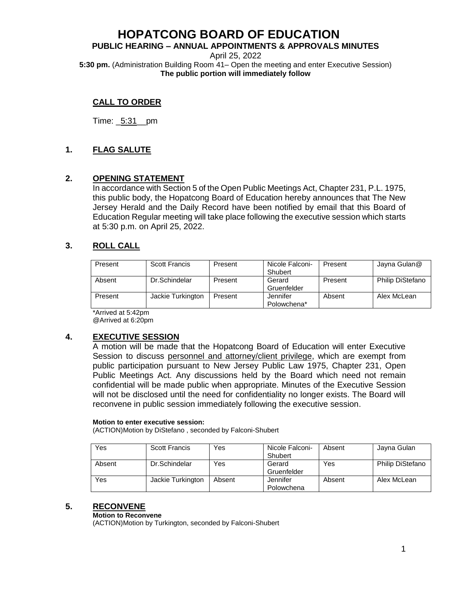#### **PUBLIC HEARING – ANNUAL APPOINTMENTS & APPROVALS MINUTES**

April 25, 2022 **5:30 pm.** (Administration Building Room 41– Open the meeting and enter Executive Session) **The public portion will immediately follow**

## **CALL TO ORDER**

Time: \_5:31\_\_pm

## **1. FLAG SALUTE**

## **2. OPENING STATEMENT**

In accordance with Section 5 of the Open Public Meetings Act, Chapter 231, P.L. 1975, this public body, the Hopatcong Board of Education hereby announces that The New Jersey Herald and the Daily Record have been notified by email that this Board of Education Regular meeting will take place following the executive session which starts at 5:30 p.m. on April 25, 2022.

## **3. ROLL CALL**

| Present | Scott Francis     | Present | Nicole Falconi-<br>Shubert | Present | Jayna Gulan@            |
|---------|-------------------|---------|----------------------------|---------|-------------------------|
| Absent  | Dr.Schindelar     | Present | Gerard<br>Gruenfelder      | Present | <b>Philip DiStefano</b> |
| Present | Jackie Turkington | Present | Jennifer<br>Polowchena*    | Absent  | Alex McLean             |

\*Arrived at 5:42pm @Arrived at 6:20pm

## **4. EXECUTIVE SESSION**

A motion will be made that the Hopatcong Board of Education will enter Executive Session to discuss personnel and attorney/client privilege, which are exempt from public participation pursuant to New Jersey Public Law 1975, Chapter 231, Open Public Meetings Act. Any discussions held by the Board which need not remain confidential will be made public when appropriate. Minutes of the Executive Session will not be disclosed until the need for confidentiality no longer exists. The Board will reconvene in public session immediately following the executive session.

#### **Motion to enter executive session:**

(ACTION)Motion by DiStefano , seconded by Falconi-Shubert

| Yes    | <b>Scott Francis</b> | Yes    | Nicole Falconi-<br>Shubert | Absent | Jayna Gulan             |
|--------|----------------------|--------|----------------------------|--------|-------------------------|
| Absent | Dr.Schindelar        | Yes    | Gerard<br>Gruenfelder      | Yes    | <b>Philip DiStefano</b> |
| Yes    | Jackie Turkington    | Absent | Jennifer<br>Polowchena     | Absent | Alex McLean             |

### **5. RECONVENE**

#### **Motion to Reconvene**

(ACTION)Motion by Turkington, seconded by Falconi-Shubert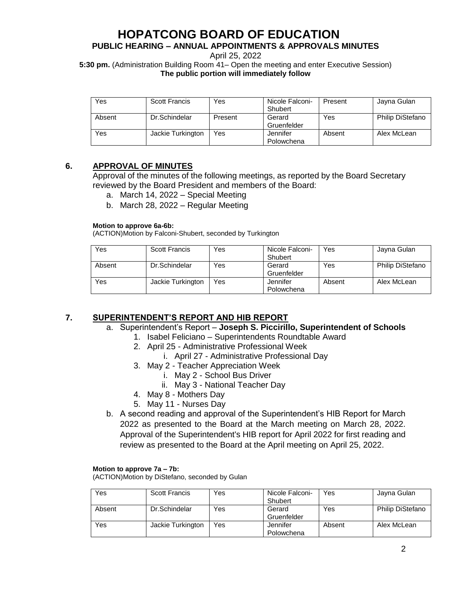## **PUBLIC HEARING – ANNUAL APPOINTMENTS & APPROVALS MINUTES**

April 25, 2022

**5:30 pm.** (Administration Building Room 41– Open the meeting and enter Executive Session) **The public portion will immediately follow**

| Yes    | <b>Scott Francis</b> | Yes     | Nicole Falconi-<br>Shubert | Present | Jayna Gulan      |
|--------|----------------------|---------|----------------------------|---------|------------------|
| Absent | Dr.Schindelar        | Present | Gerard<br>Gruenfelder      | Yes     | Philip DiStefano |
| Yes    | Jackie Turkington    | Yes     | Jennifer<br>Polowchena     | Absent  | Alex McLean      |

## **6. APPROVAL OF MINUTES**

Approval of the minutes of the following meetings, as reported by the Board Secretary reviewed by the Board President and members of the Board:

- a. March 14, 2022 Special Meeting
- b. March 28, 2022 Regular Meeting

#### **Motion to approve 6a-6b:**

(ACTION)Motion by Falconi-Shubert, seconded by Turkington

| Yes    | <b>Scott Francis</b> | Yes | Nicole Falconi-<br>Shubert | Yes    | Jayna Gulan             |
|--------|----------------------|-----|----------------------------|--------|-------------------------|
| Absent | Dr.Schindelar        | Yes | Gerard<br>Gruenfelder      | Yes    | <b>Philip DiStefano</b> |
| Yes    | Jackie Turkington    | Yes | Jennifer<br>Polowchena     | Absent | Alex McLean             |

## **7. SUPERINTENDENT'S REPORT AND HIB REPORT**

- a. Superintendent's Report **Joseph S. Piccirillo, Superintendent of Schools**
	- 1. Isabel Feliciano Superintendents Roundtable Award
	- 2. April 25 Administrative Professional Week
		- i. April 27 Administrative Professional Day
	- 3. May 2 Teacher Appreciation Week
		- i. May 2 School Bus Driver
		- ii. May 3 National Teacher Day
	- 4. May 8 Mothers Day
	- 5. May 11 Nurses Day
- b. A second reading and approval of the Superintendent's HIB Report for March 2022 as presented to the Board at the March meeting on March 28, 2022. Approval of the Superintendent's HIB report for April 2022 for first reading and review as presented to the Board at the April meeting on April 25, 2022.

#### **Motion to approve 7a – 7b:**

(ACTION)Motion by DiStefano, seconded by Gulan

| Yes    | <b>Scott Francis</b> | Yes | Nicole Falconi-<br>Shubert | Yes    | Jayna Gulan             |
|--------|----------------------|-----|----------------------------|--------|-------------------------|
| Absent | Dr.Schindelar        | Yes | Gerard<br>Gruenfelder      | Yes    | <b>Philip DiStefano</b> |
| Yes    | Jackie Turkington    | Yes | Jennifer<br>Polowchena     | Absent | Alex McLean             |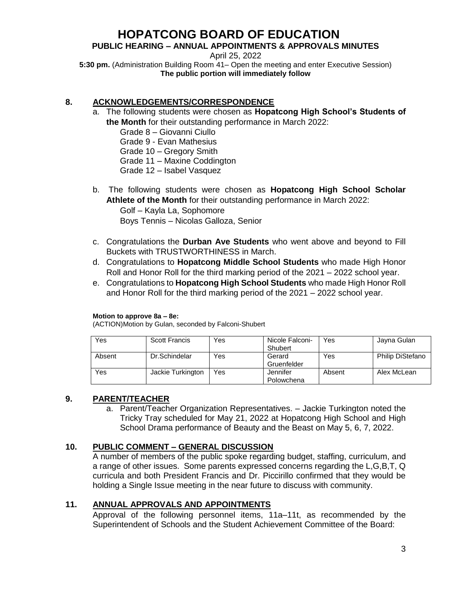## **PUBLIC HEARING – ANNUAL APPOINTMENTS & APPROVALS MINUTES**

April 25, 2022

**5:30 pm.** (Administration Building Room 41– Open the meeting and enter Executive Session) **The public portion will immediately follow**

## **8. ACKNOWLEDGEMENTS/CORRESPONDENCE**

- a. The following students were chosen as **Hopatcong High School's Students of the Month** for their outstanding performance in March 2022:
	- Grade 8 Giovanni Ciullo Grade 9 - Evan Mathesius Grade 10 – Gregory Smith Grade 11 – Maxine Coddington Grade 12 – Isabel Vasquez
- b. The following students were chosen as **Hopatcong High School Scholar Athlete of the Month** for their outstanding performance in March 2022:

Golf – Kayla La, Sophomore Boys Tennis – Nicolas Galloza, Senior

- c. Congratulations the **Durban Ave Students** who went above and beyond to Fill Buckets with TRUSTWORTHINESS in March.
- d. Congratulations to **Hopatcong Middle School Students** who made High Honor Roll and Honor Roll for the third marking period of the 2021 – 2022 school year.
- e. Congratulations to **Hopatcong High School Students** who made High Honor Roll and Honor Roll for the third marking period of the 2021 – 2022 school year.

#### **Motion to approve 8a – 8e:**

(ACTION)Motion by Gulan, seconded by Falconi-Shubert

| Yes    | <b>Scott Francis</b> | Yes | Nicole Falconi-<br>Shubert | Yes    | Jayna Gulan      |
|--------|----------------------|-----|----------------------------|--------|------------------|
| Absent | Dr.Schindelar        | Yes | Gerard<br>Gruenfelder      | Yes    | Philip DiStefano |
| Yes    | Jackie Turkington    | Yes | Jennifer<br>Polowchena     | Absent | Alex McLean      |

## **9. PARENT/TEACHER**

a. Parent/Teacher Organization Representatives. – Jackie Turkington noted the Tricky Tray scheduled for May 21, 2022 at Hopatcong High School and High School Drama performance of Beauty and the Beast on May 5, 6, 7, 2022.

## **10. PUBLIC COMMENT – GENERAL DISCUSSION**

A number of members of the public spoke regarding budget, staffing, curriculum, and a range of other issues. Some parents expressed concerns regarding the L,G,B,T, Q curricula and both President Francis and Dr. Piccirillo confirmed that they would be holding a Single Issue meeting in the near future to discuss with community.

## **11. ANNUAL APPROVALS AND APPOINTMENTS**

Approval of the following personnel items, 11a–11t, as recommended by the Superintendent of Schools and the Student Achievement Committee of the Board: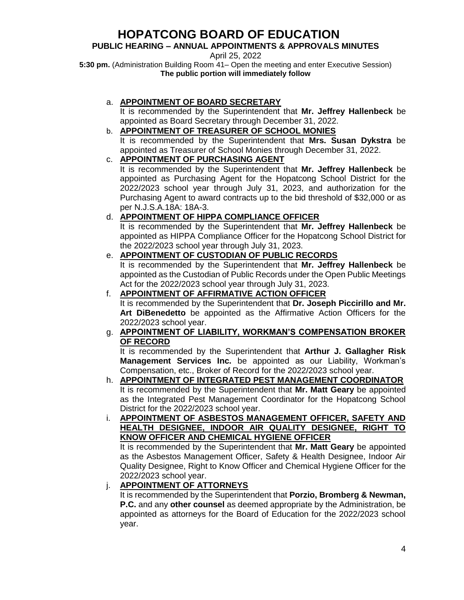## **PUBLIC HEARING – ANNUAL APPOINTMENTS & APPROVALS MINUTES**

April 25, 2022

**5:30 pm.** (Administration Building Room 41– Open the meeting and enter Executive Session) **The public portion will immediately follow**

## a. **APPOINTMENT OF BOARD SECRETARY**

It is recommended by the Superintendent that **Mr. Jeffrey Hallenbeck** be appointed as Board Secretary through December 31, 2022.

## b. **APPOINTMENT OF TREASURER OF SCHOOL MONIES**

It is recommended by the Superintendent that **Mrs. Susan Dykstra** be appointed as Treasurer of School Monies through December 31, 2022.

## c. **APPOINTMENT OF PURCHASING AGENT**

It is recommended by the Superintendent that **Mr. Jeffrey Hallenbeck** be appointed as Purchasing Agent for the Hopatcong School District for the 2022/2023 school year through July 31, 2023, and authorization for the Purchasing Agent to award contracts up to the bid threshold of \$32,000 or as per N.J.S.A.18A: 18A-3.

## d. **APPOINTMENT OF HIPPA COMPLIANCE OFFICER**

It is recommended by the Superintendent that **Mr. Jeffrey Hallenbeck** be appointed as HIPPA Compliance Officer for the Hopatcong School District for the 2022/2023 school year through July 31, 2023.

## e. **APPOINTMENT OF CUSTODIAN OF PUBLIC RECORDS**

It is recommended by the Superintendent that **Mr. Jeffrey Hallenbeck** be appointed as the Custodian of Public Records under the Open Public Meetings Act for the 2022/2023 school year through July 31, 2023.

## f. **APPOINTMENT OF AFFIRMATIVE ACTION OFFICER**

It is recommended by the Superintendent that **Dr. Joseph Piccirillo and Mr. Art DiBenedetto** be appointed as the Affirmative Action Officers for the 2022/2023 school year.

## g. **APPOINTMENT OF LIABILITY, WORKMAN'S COMPENSATION BROKER OF RECORD**

It is recommended by the Superintendent that **Arthur J. Gallagher Risk Management Services Inc.** be appointed as our Liability, Workman's Compensation, etc., Broker of Record for the 2022/2023 school year.

## h. **APPOINTMENT OF INTEGRATED PEST MANAGEMENT COORDINATOR**  It is recommended by the Superintendent that **Mr. Matt Geary** be appointed as the Integrated Pest Management Coordinator for the Hopatcong School District for the 2022/2023 school year.

i. **APPOINTMENT OF ASBESTOS MANAGEMENT OFFICER, SAFETY AND HEALTH DESIGNEE, INDOOR AIR QUALITY DESIGNEE, RIGHT TO KNOW OFFICER AND CHEMICAL HYGIENE OFFICER**

It is recommended by the Superintendent that **Mr. Matt Geary** be appointed as the Asbestos Management Officer, Safety & Health Designee, Indoor Air Quality Designee, Right to Know Officer and Chemical Hygiene Officer for the 2022/2023 school year.

## j. **APPOINTMENT OF ATTORNEYS**

It is recommended by the Superintendent that **Porzio, Bromberg & Newman, P.C.** and any **other counsel** as deemed appropriate by the Administration, be appointed as attorneys for the Board of Education for the 2022/2023 school year.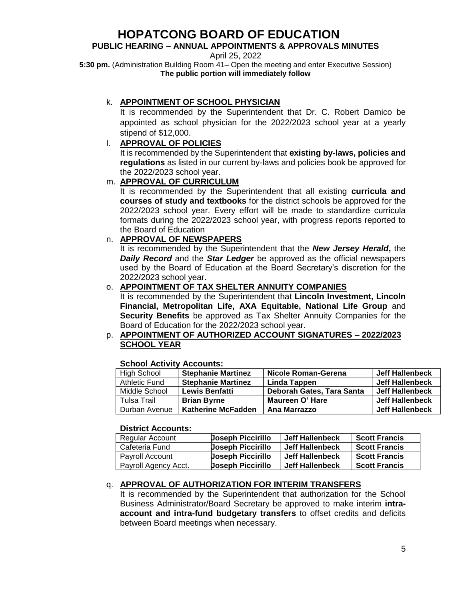## **PUBLIC HEARING – ANNUAL APPOINTMENTS & APPROVALS MINUTES**

April 25, 2022

**5:30 pm.** (Administration Building Room 41– Open the meeting and enter Executive Session) **The public portion will immediately follow**

## k. **APPOINTMENT OF SCHOOL PHYSICIAN**

It is recommended by the Superintendent that Dr. C. Robert Damico be appointed as school physician for the 2022/2023 school year at a yearly stipend of \$12,000.

## l. **APPROVAL OF POLICIES**

It is recommended by the Superintendent that **existing by-laws, policies and regulations** as listed in our current by-laws and policies book be approved for the 2022/2023 school year.

## m. **APPROVAL OF CURRICULUM**

It is recommended by the Superintendent that all existing **curricula and courses of study and textbooks** for the district schools be approved for the 2022/2023 school year. Every effort will be made to standardize curricula formats during the 2022/2023 school year, with progress reports reported to the Board of Education

## n. **APPROVAL OF NEWSPAPERS**

It is recommended by the Superintendent that the *New Jersey Herald***,** the *Daily Record* and the *Star Ledger* be approved as the official newspapers used by the Board of Education at the Board Secretary's discretion for the 2022/2023 school year.

## o. **APPOINTMENT OF TAX SHELTER ANNUITY COMPANIES**

It is recommended by the Superintendent that **Lincoln Investment, Lincoln Financial, Metropolitan Life, AXA Equitable, National Life Group** and **Security Benefits** be approved as Tax Shelter Annuity Companies for the Board of Education for the 2022/2023 school year.

## p. **APPOINTMENT OF AUTHORIZED ACCOUNT SIGNATURES – 2022/2023 SCHOOL YEAR**

## **School Activity Accounts:**

| <b>High School</b> | <b>Stephanie Martinez</b> | <b>Nicole Roman-Gerena</b> | Jeff Hallenbeck        |
|--------------------|---------------------------|----------------------------|------------------------|
| Athletic Fund      | <b>Stephanie Martinez</b> | Linda Tappen               | <b>Jeff Hallenbeck</b> |
| Middle School      | <b>Lewis Benfatti</b>     | Deborah Gates, Tara Santa  | Jeff Hallenbeck        |
| Tulsa Trail        | <b>Brian Byrne</b>        | Maureen O' Hare            | <b>Jeff Hallenbeck</b> |
| Durban Avenue      | <b>Katherine McFadden</b> | Ana Marrazzo               | <b>Jeff Hallenbeck</b> |

### **District Accounts:**

| Regular Account      | <b>Joseph Piccirillo</b> | Jeff Hallenbeck | <b>Scott Francis</b> |
|----------------------|--------------------------|-----------------|----------------------|
| Cafeteria Fund       | <b>Joseph Piccirillo</b> | Jeff Hallenbeck | <b>Scott Francis</b> |
| Pavroll Account      | <b>Uoseph Piccirillo</b> | Jeff Hallenbeck | <b>Scott Francis</b> |
| Payroll Agency Acct. | <b>Joseph Piccirillo</b> | Jeff Hallenbeck | <b>Scott Francis</b> |

## q. **APPROVAL OF AUTHORIZATION FOR INTERIM TRANSFERS**

It is recommended by the Superintendent that authorization for the School Business Administrator/Board Secretary be approved to make interim **intraaccount and intra-fund budgetary transfers** to offset credits and deficits between Board meetings when necessary.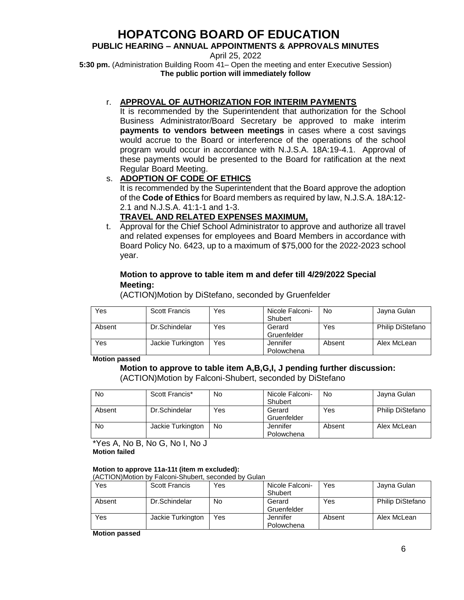## **PUBLIC HEARING – ANNUAL APPOINTMENTS & APPROVALS MINUTES**

April 25, 2022

**5:30 pm.** (Administration Building Room 41– Open the meeting and enter Executive Session) **The public portion will immediately follow**

## r. **APPROVAL OF AUTHORIZATION FOR INTERIM PAYMENTS**

It is recommended by the Superintendent that authorization for the School Business Administrator/Board Secretary be approved to make interim **payments to vendors between meetings** in cases where a cost savings would accrue to the Board or interference of the operations of the school program would occur in accordance with N.J.S.A. 18A:19-4.1. Approval of these payments would be presented to the Board for ratification at the next Regular Board Meeting.

## s. **ADOPTION OF CODE OF ETHICS**

It is recommended by the Superintendent that the Board approve the adoption of the **Code of Ethics** for Board members as required by law, N.J.S.A. 18A:12- 2.1 and N.J.S.A. 41:1-1 and 1-3.

## **TRAVEL AND RELATED EXPENSES MAXIMUM,**

t. Approval for the Chief School Administrator to approve and authorize all travel and related expenses for employees and Board Members in accordance with Board Policy No. 6423, up to a maximum of \$75,000 for the 2022-2023 school year.

## **Motion to approve to table item m and defer till 4/29/2022 Special Meeting:**

(ACTION)Motion by DiStefano, seconded by Gruenfelder

| Yes    | <b>Scott Francis</b> | Yes | Nicole Falconi-<br>Shubert | No     | Jayna Gulan             |
|--------|----------------------|-----|----------------------------|--------|-------------------------|
| Absent | Dr.Schindelar        | Yes | Gerard<br>Gruenfelder      | Yes    | <b>Philip DiStefano</b> |
| Yes    | Jackie Turkington    | Yes | Jennifer<br>Polowchena     | Absent | Alex McLean             |

**Motion passed**

## **Motion to approve to table item A,B,G,I, J pending further discussion:**

(ACTION)Motion by Falconi-Shubert, seconded by DiStefano

| No     | Scott Francis*    | No  | Nicole Falconi-<br>Shubert | No     | Jayna Gulan             |
|--------|-------------------|-----|----------------------------|--------|-------------------------|
| Absent | Dr.Schindelar     | Yes | Gerard<br>Gruenfelder      | Yes    | <b>Philip DiStefano</b> |
| No     | Jackie Turkington | No  | Jennifer<br>Polowchena     | Absent | Alex McLean             |

\*Yes A, No B, No G, No I, No J **Motion failed**

#### **Motion to approve 11a-11t (item m excluded):**

(ACTION)Motion by Falconi-Shubert, seconded by Gulan

| Yes    | <b>Scott Francis</b> | Yes | Nicole Falconi- | Yes    | Jayna Gulan             |
|--------|----------------------|-----|-----------------|--------|-------------------------|
|        |                      |     | Shubert         |        |                         |
| Absent | Dr.Schindelar        | No  | Gerard          | Yes    | <b>Philip DiStefano</b> |
|        |                      |     | Gruenfelder     |        |                         |
| Yes    | Jackie Turkington    | Yes | Jennifer        | Absent | Alex McLean             |
|        |                      |     | Polowchena      |        |                         |

**Motion passed**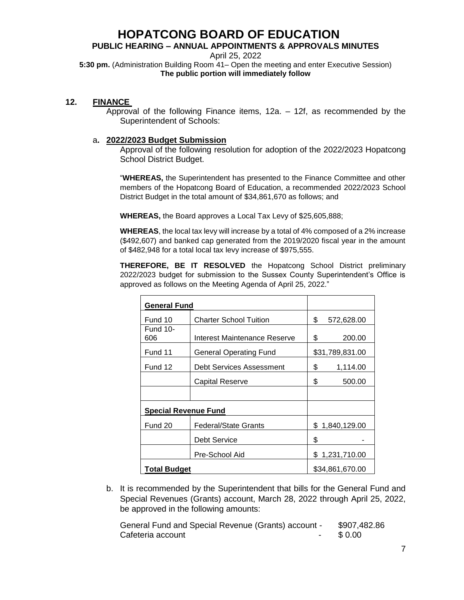## **PUBLIC HEARING – ANNUAL APPOINTMENTS & APPROVALS MINUTES**

April 25, 2022

**5:30 pm.** (Administration Building Room 41– Open the meeting and enter Executive Session) **The public portion will immediately follow**

## **12. FINANCE**

Approval of the following Finance items, 12a. – 12f, as recommended by the Superintendent of Schools:

### a**. 2022/2023 Budget Submission**

Approval of the following resolution for adoption of the 2022/2023 Hopatcong School District Budget.

"**WHEREAS,** the Superintendent has presented to the Finance Committee and other members of the Hopatcong Board of Education, a recommended 2022/2023 School District Budget in the total amount of \$34,861,670 as follows; and

**WHEREAS,** the Board approves a Local Tax Levy of \$25,605,888;

**WHEREAS**, the local tax levy will increase by a total of 4% composed of a 2% increase (\$492,607) and banked cap generated from the 2019/2020 fiscal year in the amount of \$482,948 for a total local tax levy increase of \$975,555.

**THEREFORE, BE IT RESOLVED** the Hopatcong School District preliminary 2022/2023 budget for submission to the Sussex County Superintendent's Office is approved as follows on the Meeting Agenda of April 25, 2022."

| <b>General Fund</b>         |                               |                  |
|-----------------------------|-------------------------------|------------------|
| Fund 10                     | <b>Charter School Tuition</b> | \$<br>572,628.00 |
| <b>Fund 10-</b><br>606      | Interest Maintenance Reserve  | \$<br>200.00     |
| Fund 11                     | General Operating Fund        | \$31,789,831.00  |
| Fund 12                     | Debt Services Assessment      | \$<br>1,114.00   |
|                             | Capital Reserve               | \$<br>500.00     |
|                             |                               |                  |
| <b>Special Revenue Fund</b> |                               |                  |
| Fund 20                     | <b>Federal/State Grants</b>   | \$1,840,129.00   |
|                             | Debt Service                  | \$               |
|                             | Pre-School Aid                | \$1,231,710.00   |
| <b>Total Budget</b>         | \$34,861,670.00               |                  |

b. It is recommended by the Superintendent that bills for the General Fund and Special Revenues (Grants) account, March 28, 2022 through April 25, 2022, be approved in the following amounts:

General Fund and Special Revenue (Grants) account - \$907,482.86 Cafeteria account Cafeteria account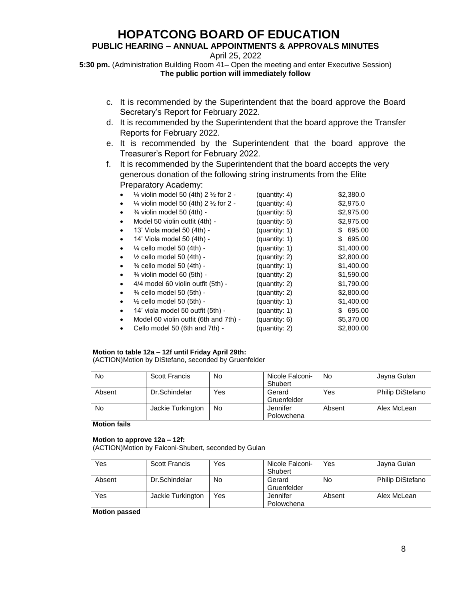## **PUBLIC HEARING – ANNUAL APPOINTMENTS & APPROVALS MINUTES**

April 25, 2022

**5:30 pm.** (Administration Building Room 41– Open the meeting and enter Executive Session) **The public portion will immediately follow**

- c. It is recommended by the Superintendent that the board approve the Board Secretary's Report for February 2022.
- d. It is recommended by the Superintendent that the board approve the Transfer Reports for February 2022.
- e. It is recommended by the Superintendent that the board approve the Treasurer's Report for February 2022.
- f. It is recommended by the Superintendent that the board accepts the very generous donation of the following string instruments from the Elite Preparatory Academy:

| $\frac{1}{4}$ violin model 50 (4th) 2 $\frac{1}{2}$ for 2 - | (quantity: 4) | \$2,380.0     |
|-------------------------------------------------------------|---------------|---------------|
| $\frac{1}{4}$ violin model 50 (4th) 2 $\frac{1}{2}$ for 2 - | (quantity: 4) | \$2,975.0     |
| 3⁄4 violin model 50 (4th) -                                 | (quantity: 5) | \$2,975.00    |
| Model 50 violin outfit (4th) -                              | (quantity: 5) | \$2,975.00    |
| 13' Viola model 50 (4th) -                                  | (quantity: 1) | 695.00<br>SS. |
| 14' Viola model 50 (4th) -                                  | (quantity: 1) | 695.00<br>\$  |
| $\frac{1}{4}$ cello model 50 (4th) -                        | (quantity: 1) | \$1,400.00    |
| $\frac{1}{2}$ cello model 50 (4th) -                        | (quantity: 2) | \$2,800.00    |
| $\frac{3}{4}$ cello model 50 (4th) -                        | (quantity: 1) | \$1,400.00    |
| 3⁄4 violin model 60 (5th) -                                 | (quantity: 2) | \$1,590.00    |
| 4/4 model 60 violin outfit (5th) -                          | (quantity: 2) | \$1,790.00    |
| 3⁄4 cello model 50 (5th) -                                  | (quantity: 2) | \$2,800.00    |
| $\frac{1}{2}$ cello model 50 (5th) -                        | (quantity: 1) | \$1,400.00    |
| 14' viola model 50 outfit (5th) -                           | (quantity: 1) | \$ 695.00     |
| Model 60 violin outfit (6th and 7th) -                      | (quantity: 6) | \$5,370.00    |
| Cello model 50 (6th and 7th) -                              | (quantity: 2) | \$2,800.00    |

## **Motion to table 12a – 12f until Friday April 29th:**

(ACTION)Motion by DiStefano, seconded by Gruenfelder

| No     | <b>Scott Francis</b> | No  | Nicole Falconi-<br>Shubert | No     | Jayna Gulan      |
|--------|----------------------|-----|----------------------------|--------|------------------|
|        |                      |     |                            |        |                  |
| Absent | Dr.Schindelar        | Yes | Gerard                     | Yes    | Philip DiStefano |
|        |                      |     | Gruenfelder                |        |                  |
| No     | Jackie Turkington    | No  | Jennifer                   | Absent | Alex McLean      |
|        |                      |     | Polowchena                 |        |                  |

**Motion fails**

#### **Motion to approve 12a – 12f:**

(ACTION)Motion by Falconi-Shubert, seconded by Gulan

| Yes    | <b>Scott Francis</b> | Yes | Nicole Falconi-<br>Shubert | Yes    | Jayna Gulan             |
|--------|----------------------|-----|----------------------------|--------|-------------------------|
| Absent | Dr.Schindelar        | No  | Gerard<br>Gruenfelder      | No     | <b>Philip DiStefano</b> |
| Yes    | Jackie Turkington    | Yes | Jennifer<br>Polowchena     | Absent | Alex McLean             |

**Motion passed**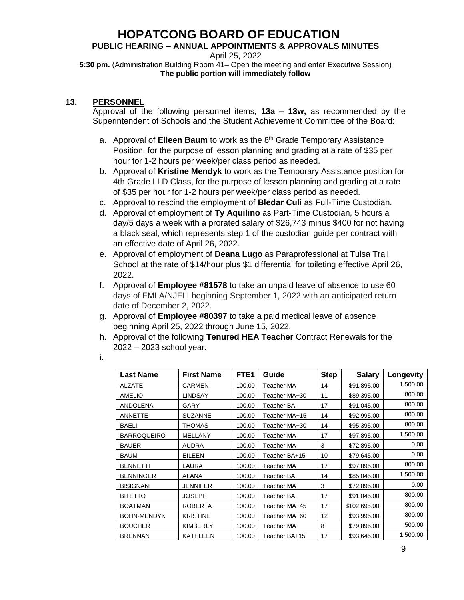## **PUBLIC HEARING – ANNUAL APPOINTMENTS & APPROVALS MINUTES**

April 25, 2022

**5:30 pm.** (Administration Building Room 41– Open the meeting and enter Executive Session) **The public portion will immediately follow**

## **13. PERSONNEL**

Approval of the following personnel items, **13a – 13w,** as recommended by the Superintendent of Schools and the Student Achievement Committee of the Board:

- a. Approval of **Eileen Baum** to work as the 8<sup>th</sup> Grade Temporary Assistance Position, for the purpose of lesson planning and grading at a rate of \$35 per hour for 1-2 hours per week/per class period as needed.
- b. Approval of **Kristine Mendyk** to work as the Temporary Assistance position for 4th Grade LLD Class, for the purpose of lesson planning and grading at a rate of \$35 per hour for 1-2 hours per week/per class period as needed.
- c. Approval to rescind the employment of **Bledar Culi** as Full-Time Custodian.
- d. Approval of employment of **Ty Aquilino** as Part-Time Custodian, 5 hours a day/5 days a week with a prorated salary of \$26,743 minus \$400 for not having a black seal, which represents step 1 of the custodian guide per contract with an effective date of April 26, 2022.
- e. Approval of employment of **Deana Lugo** as Paraprofessional at Tulsa Trail School at the rate of \$14/hour plus \$1 differential for toileting effective April 26, 2022.
- f. Approval of **Employee #81578** to take an unpaid leave of absence to use 60 days of FMLA/NJFLI beginning September 1, 2022 with an anticipated return date of December 2, 2022.
- g. Approval of **Employee #80397** to take a paid medical leave of absence beginning April 25, 2022 through June 15, 2022.
- h. Approval of the following **Tenured HEA Teacher** Contract Renewals for the 2022 – 2023 school year:

| <b>Last Name</b>   | <b>First Name</b> | FTE <sub>1</sub> | Guide         | <b>Step</b> | <b>Salary</b> | Longevity |
|--------------------|-------------------|------------------|---------------|-------------|---------------|-----------|
| <b>ALZATE</b>      | <b>CARMEN</b>     | 100.00           | Teacher MA    | 14          | \$91,895.00   | 1,500.00  |
| <b>AMELIO</b>      | <b>LINDSAY</b>    | 100.00           | Teacher MA+30 | 11          | \$89,395.00   | 800.00    |
| <b>ANDOLENA</b>    | GARY              | 100.00           | Teacher BA    | 17          | \$91,045.00   | 800.00    |
| <b>ANNETTE</b>     | <b>SUZANNE</b>    | 100.00           | Teacher MA+15 | 14          | \$92,995.00   | 800.00    |
| <b>BAELI</b>       | <b>THOMAS</b>     | 100.00           | Teacher MA+30 | 14          | \$95,395.00   | 800.00    |
| <b>BARROQUEIRO</b> | <b>MELLANY</b>    | 100.00           | Teacher MA    | 17          | \$97,895.00   | 1,500.00  |
| <b>BAUER</b>       | <b>AUDRA</b>      | 100.00           | Teacher MA    | 3           | \$72,895.00   | 0.00      |
| <b>BAUM</b>        | <b>EILEEN</b>     | 100.00           | Teacher BA+15 | 10          | \$79,645.00   | 0.00      |
| <b>BENNETTI</b>    | <b>LAURA</b>      | 100.00           | Teacher MA    | 17          | \$97,895.00   | 800.00    |
| <b>BENNINGER</b>   | <b>ALANA</b>      | 100.00           | Teacher BA    | 14          | \$85,045.00   | 1,500.00  |
| <b>BISIGNANI</b>   | JENNIFER          | 100.00           | Teacher MA    | 3           | \$72,895.00   | 0.00      |
| <b>BITETTO</b>     | <b>JOSEPH</b>     | 100.00           | Teacher BA    | 17          | \$91,045.00   | 800.00    |
| <b>BOATMAN</b>     | <b>ROBERTA</b>    | 100.00           | Teacher MA+45 | 17          | \$102,695.00  | 800.00    |
| <b>BOHN-MENDYK</b> | <b>KRISTINE</b>   | 100.00           | Teacher MA+60 | 12          | \$93,995.00   | 800.00    |
| <b>BOUCHER</b>     | <b>KIMBERLY</b>   | 100.00           | Teacher MA    | 8           | \$79,895.00   | 500.00    |
| <b>BRENNAN</b>     | <b>KATHLEEN</b>   | 100.00           | Teacher BA+15 | 17          | \$93,645.00   | 1,500.00  |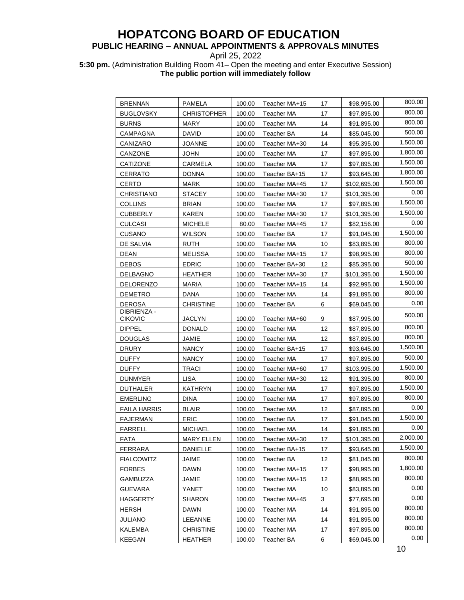## **PUBLIC HEARING – ANNUAL APPOINTMENTS & APPROVALS MINUTES**

April 25, 2022

**5:30 pm.** (Administration Building Room 41– Open the meeting and enter Executive Session) **The public portion will immediately follow**

| <b>BRENNAN</b>                | PAMELA            | 100.00 | Teacher MA+15     | 17 | \$98,995.00  | 800.00   |
|-------------------------------|-------------------|--------|-------------------|----|--------------|----------|
| <b>BUGLOVSKY</b>              | CHRISTOPHER       | 100.00 | Teacher MA        | 17 | \$97,895.00  | 800.00   |
| <b>BURNS</b>                  | <b>MARY</b>       | 100.00 | Teacher MA        | 14 | \$91,895.00  | 800.00   |
| CAMPAGNA                      | <b>DAVID</b>      | 100.00 | Teacher BA        | 14 | \$85,045.00  | 500.00   |
| CANIZARO                      | JOANNE            | 100.00 | Teacher MA+30     | 14 | \$95,395.00  | 1,500.00 |
| CANZONE                       | <b>JOHN</b>       | 100.00 | Teacher MA        | 17 | \$97,895.00  | 1,800.00 |
| CATIZONE                      | CARMELA           | 100.00 | Teacher MA        | 17 | \$97,895.00  | 1,500.00 |
| <b>CERRATO</b>                | DONNA             | 100.00 | Teacher BA+15     | 17 | \$93.645.00  | 1,800.00 |
| CERTO                         | <b>MARK</b>       | 100.00 | Teacher MA+45     | 17 | \$102,695.00 | 1,500.00 |
| CHRISTIANO                    | <b>STACEY</b>     | 100.00 | Teacher MA+30     | 17 | \$101,395.00 | 0.00     |
| COLLINS                       | <b>BRIAN</b>      | 100.00 | Teacher MA        | 17 | \$97,895.00  | 1,500.00 |
| <b>CUBBERLY</b>               | <b>KAREN</b>      | 100.00 | Teacher MA+30     | 17 | \$101,395.00 | 1,500.00 |
| CULCASI                       | <b>MICHELE</b>    | 80.00  | Teacher MA+45     | 17 | \$82,156.00  | 0.00     |
| CUSANO                        | WILSON            | 100.00 | Teacher BA        | 17 | \$91,045.00  | 1,500.00 |
| DE SALVIA                     | <b>RUTH</b>       | 100.00 | Teacher MA        | 10 | \$83,895.00  | 800.00   |
| DEAN                          | MELISSA           | 100.00 | Teacher MA+15     | 17 | \$98,995.00  | 800.00   |
| <b>DEBOS</b>                  | <b>EDRIC</b>      | 100.00 | Teacher BA+30     | 12 | \$85,395.00  | 500.00   |
| <b>DELBAGNO</b>               | <b>HEATHER</b>    | 100.00 | Teacher MA+30     | 17 | \$101,395.00 | 1,500.00 |
| <b>DELORENZO</b>              | <b>MARIA</b>      | 100.00 | Teacher MA+15     | 14 | \$92,995.00  | 1,500.00 |
| <b>DEMETRO</b>                | <b>DANA</b>       | 100.00 | Teacher MA        | 14 | \$91,895.00  | 800.00   |
| DEROSA                        | CHRISTINE         | 100.00 | Teacher BA        | 6  | \$69,045.00  | 0.00     |
| DIBRIENZA -<br><b>CIKOVIC</b> | JACLYN            | 100.00 | Teacher MA+60     | 9  | \$87,995.00  | 500.00   |
| <b>DIPPEL</b>                 | <b>DONALD</b>     | 100.00 | Teacher MA        | 12 | \$87,895.00  | 800.00   |
| DOUGLAS                       | JAMIE             | 100.00 | Teacher MA        | 12 | \$87,895.00  | 800.00   |
| <b>DRURY</b>                  | <b>NANCY</b>      | 100.00 | Teacher BA+15     | 17 | \$93,645.00  | 1,500.00 |
| DUFFY.                        | <b>NANCY</b>      | 100.00 | Teacher MA        | 17 | \$97,895.00  | 500.00   |
| <b>DUFFY</b>                  | <b>TRACI</b>      | 100.00 | Teacher MA+60     | 17 | \$103,995.00 | 1,500.00 |
| <b>DUNMYER</b>                | LISA              | 100.00 | Teacher MA+30     | 12 | \$91,395.00  | 800.00   |
| <b>DUTHALER</b>               | <b>KATHRYN</b>    | 100.00 | Teacher MA        | 17 | \$97,895.00  | 1,500.00 |
| <b>EMERLING</b>               | <b>DINA</b>       | 100.00 | Teacher MA        | 17 | \$97,895.00  | 800.00   |
| FAILA HARRIS                  | BLAIR             | 100.00 | Teacher MA        | 12 | \$87.895.00  | 0.00     |
| FAJERMAN                      | <b>ERIC</b>       | 100.00 | Teacher BA        | 17 | \$91,045.00  | 1.500.00 |
| <b>FARRELL</b>                | <b>MICHAEL</b>    | 100.00 | <b>Teacher MA</b> | 14 | \$91,895.00  | 0.00     |
| <b>FATA</b>                   | <b>MARY ELLEN</b> | 100.00 | Teacher MA+30     | 17 | \$101,395.00 | 2,000.00 |
| <b>FERRARA</b>                | DANIELLE          | 100.00 | Teacher BA+15     | 17 | \$93,645.00  | 1,500.00 |
| <b>FIALCOWITZ</b>             | <b>JAIME</b>      | 100.00 | Teacher BA        | 12 | \$81,045.00  | 800.00   |
| <b>FORBES</b>                 | DAWN              | 100.00 | Teacher MA+15     | 17 | \$98,995.00  | 1,800.00 |
| GAMBUZZA                      | JAMIE             | 100.00 | Teacher MA+15     | 12 | \$88,995.00  | 800.00   |
| <b>GUEVARA</b>                | YANET             | 100.00 | Teacher MA        | 10 | \$83,895.00  | 0.00     |
| HAGGERTY                      | SHARON            | 100.00 | Teacher MA+45     | 3  | \$77,695.00  | 0.00     |
| HERSH                         | DAWN              | 100.00 | Teacher MA        | 14 | \$91,895.00  | 800.00   |
| JULIANO                       | <b>LEEANNE</b>    | 100.00 | Teacher MA        | 14 | \$91,895.00  | 800.00   |
| KALEMBA                       | <b>CHRISTINE</b>  | 100.00 | <b>Teacher MA</b> | 17 | \$97,895.00  | 800.00   |
| <b>KEEGAN</b>                 | <b>HEATHER</b>    | 100.00 | Teacher BA        | 6  | \$69,045.00  | 0.00     |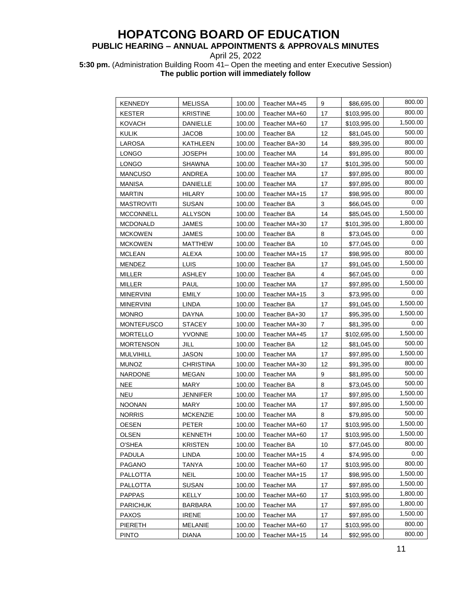## **PUBLIC HEARING – ANNUAL APPOINTMENTS & APPROVALS MINUTES**

April 25, 2022

**5:30 pm.** (Administration Building Room 41– Open the meeting and enter Executive Session) **The public portion will immediately follow**

| KENNEDY           | <b>MELISSA</b>   | 100.00 | Teacher MA+45     | 9  | \$86,695.00  | 800.00   |
|-------------------|------------------|--------|-------------------|----|--------------|----------|
| <b>KESTER</b>     | KRISTINE         | 100.00 | Teacher MA+60     | 17 | \$103,995.00 | 800.00   |
| <b>KOVACH</b>     | DANIELLE         | 100.00 | Teacher MA+60     | 17 | \$103,995.00 | 1,500.00 |
| <b>KULIK</b>      | <b>JACOB</b>     | 100.00 | Teacher BA        | 12 | \$81,045.00  | 500.00   |
| LAROSA            | KATHLEEN         | 100.00 | Teacher BA+30     | 14 | \$89,395.00  | 800.00   |
| <b>LONGO</b>      | <b>JOSEPH</b>    | 100.00 | Teacher MA        | 14 | \$91,895.00  | 800.00   |
| LONGO             | <b>SHAWNA</b>    | 100.00 | Teacher MA+30     | 17 | \$101,395.00 | 500.00   |
| <b>MANCUSO</b>    | ANDREA           | 100.00 | Teacher MA        | 17 | \$97,895.00  | 800.00   |
| <b>MANISA</b>     | <b>DANIELLE</b>  | 100.00 | Teacher MA        | 17 | \$97,895.00  | 800.00   |
| <b>MARTIN</b>     | <b>HILARY</b>    | 100.00 | Teacher MA+15     | 17 | \$98,995.00  | 800.00   |
| <b>MASTROVITI</b> | <b>SUSAN</b>     | 100.00 | Teacher BA        | 3  | \$66,045.00  | 0.00     |
| <b>MCCONNELL</b>  | <b>ALLYSON</b>   | 100.00 | Teacher BA        | 14 | \$85,045.00  | 1,500.00 |
| <b>MCDONALD</b>   | JAMES            | 100.00 | Teacher MA+30     | 17 | \$101,395.00 | 1,800.00 |
| <b>MCKOWEN</b>    | JAMES            | 100.00 | Teacher BA        | 8  | \$73,045.00  | 0.00     |
| <b>MCKOWEN</b>    | <b>MATTHEW</b>   | 100.00 | Teacher BA        | 10 | \$77,045.00  | 0.00     |
| <b>MCLEAN</b>     | <b>ALEXA</b>     | 100.00 | Teacher MA+15     | 17 | \$98,995.00  | 800.00   |
| <b>MENDEZ</b>     | LUIS             | 100.00 | Teacher BA        | 17 | \$91,045.00  | 1,500.00 |
| <b>MILLER</b>     | <b>ASHLEY</b>    | 100.00 | Teacher BA        | 4  | \$67,045.00  | 0.00     |
| <b>MILLER</b>     | <b>PAUL</b>      | 100.00 | Teacher MA        | 17 | \$97,895.00  | 1,500.00 |
| <b>MINERVINI</b>  | <b>EMILY</b>     | 100.00 | Teacher MA+15     | 3  | \$73,995.00  | 0.00     |
| <b>MINERVINI</b>  | LINDA            | 100.00 | Teacher BA        | 17 | \$91,045.00  | 1,500.00 |
| <b>MONRO</b>      | DAYNA            | 100.00 | Teacher BA+30     | 17 | \$95,395.00  | 1,500.00 |
| <b>MONTEFUSCO</b> | <b>STACEY</b>    | 100.00 | Teacher MA+30     | 7  | \$81,395.00  | 0.00     |
| <b>MORTELLO</b>   | <b>YVONNE</b>    | 100.00 | Teacher MA+45     | 17 | \$102,695.00 | 1,500.00 |
| <b>MORTENSON</b>  | JILL             | 100.00 | Teacher BA        | 12 | \$81,045.00  | 500.00   |
| <b>MULVIHILL</b>  | JASON            | 100.00 | Teacher MA        | 17 | \$97,895.00  | 1,500.00 |
| <b>MUNOZ</b>      | <b>CHRISTINA</b> | 100.00 | Teacher MA+30     | 12 | \$91,395.00  | 800.00   |
| <b>NARDONE</b>    | <b>MEGAN</b>     | 100.00 | Teacher MA        | 9  | \$81,895.00  | 500.00   |
| <b>NEE</b>        | <b>MARY</b>      | 100.00 | Teacher BA        | 8  | \$73,045.00  | 500.00   |
| <b>NEU</b>        | JENNIFER         | 100.00 | <b>Teacher MA</b> | 17 | \$97,895.00  | 1,500.00 |
| <b>NOONAN</b>     | <b>MARY</b>      | 100.00 | Teacher MA        | 17 | \$97,895.00  | 1,500.00 |
| <b>NORRIS</b>     | <b>MCKENZIE</b>  | 100.00 | Teacher MA        | 8  | \$79,895.00  | 500.00   |
| <b>OESEN</b>      | <b>PETER</b>     | 100.00 | Teacher MA+60     | 17 | \$103,995.00 | 1,500.00 |
| <b>OLSEN</b>      | <b>KENNETH</b>   | 100.00 | Teacher MA+60     | 17 | \$103,995.00 | 1,500.00 |
| O'SHEA            | <b>KRISTEN</b>   | 100.00 | Teacher BA        | 10 | \$77,045.00  | 800.00   |
| <b>PADULA</b>     | LINDA            | 100.00 | Teacher MA+15     | 4  | \$74,995.00  | 0.00     |
| <b>PAGANO</b>     | TANYA            | 100.00 | Teacher MA+60     | 17 | \$103,995.00 | 800.00   |
| <b>PALLOTTA</b>   | <b>NEIL</b>      | 100.00 | Teacher MA+15     | 17 | \$98,995.00  | 1,500.00 |
| PALLOTTA          | <b>SUSAN</b>     | 100.00 | Teacher MA        | 17 | \$97,895.00  | 1,500.00 |
| <b>PAPPAS</b>     | <b>KELLY</b>     | 100.00 | Teacher MA+60     | 17 | \$103,995.00 | 1,800.00 |
| <b>PARICHUK</b>   | BARBARA          | 100.00 | Teacher MA        | 17 | \$97,895.00  | 1,800.00 |
| <b>PAXOS</b>      | <b>IRENE</b>     | 100.00 | Teacher MA        | 17 | \$97,895.00  | 1,500.00 |
| <b>PIERETH</b>    | MELANIE          | 100.00 | Teacher MA+60     | 17 | \$103,995.00 | 800.00   |
| <b>PINTO</b>      | <b>DIANA</b>     | 100.00 | Teacher MA+15     | 14 | \$92,995.00  | 800.00   |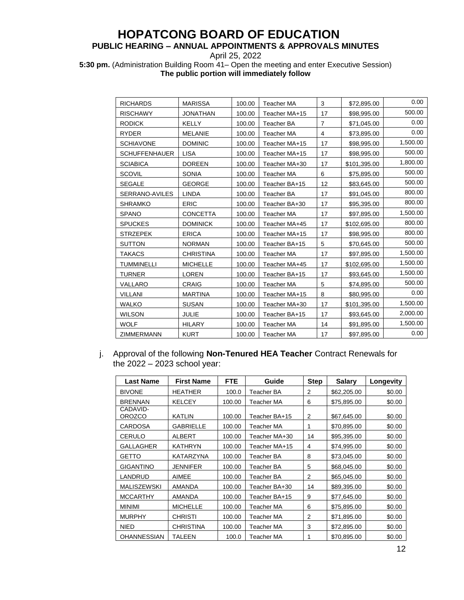## **PUBLIC HEARING – ANNUAL APPOINTMENTS & APPROVALS MINUTES**

April 25, 2022

**5:30 pm.** (Administration Building Room 41– Open the meeting and enter Executive Session) **The public portion will immediately follow**

| <b>RICHARDS</b>       | <b>MARISSA</b>   | 100.00 | <b>Teacher MA</b> | 3              | \$72,895.00  | 0.00     |
|-----------------------|------------------|--------|-------------------|----------------|--------------|----------|
| <b>RISCHAWY</b>       | <b>JONATHAN</b>  | 100.00 | Teacher MA+15     | 17             | \$98,995.00  | 500.00   |
| <b>RODICK</b>         | <b>KELLY</b>     | 100.00 | <b>Teacher BA</b> | $\overline{7}$ | \$71,045.00  | 0.00     |
| <b>RYDER</b>          | <b>MELANIE</b>   | 100.00 | Teacher MA        | $\overline{4}$ | \$73,895.00  | 0.00     |
| <b>SCHIAVONE</b>      | <b>DOMINIC</b>   | 100.00 | Teacher MA+15     | 17             | \$98,995.00  | 1,500.00 |
| <b>SCHUFFENHAUER</b>  | <b>LISA</b>      | 100.00 | Teacher MA+15     | 17             | \$98,995.00  | 500.00   |
| <b>SCIABICA</b>       | <b>DOREEN</b>    | 100.00 | Teacher MA+30     | 17             | \$101,395.00 | 1,800.00 |
| SCOVIL                | <b>SONIA</b>     | 100.00 | <b>Teacher MA</b> | 6              | \$75,895.00  | 500.00   |
| <b>SEGALE</b>         | <b>GEORGE</b>    | 100.00 | Teacher BA+15     | 12             | \$83,645.00  | 500.00   |
| <b>SERRANO-AVILES</b> | <b>LINDA</b>     | 100.00 | <b>Teacher BA</b> | 17             | \$91,045.00  | 800.00   |
| <b>SHRAMKO</b>        | <b>ERIC</b>      | 100.00 | Teacher BA+30     | 17             | \$95,395.00  | 800.00   |
| <b>SPANO</b>          | <b>CONCETTA</b>  | 100.00 | Teacher MA        | 17             | \$97,895.00  | 1,500.00 |
| <b>SPUCKES</b>        | <b>DOMINICK</b>  | 100.00 | Teacher MA+45     | 17             | \$102,695.00 | 800.00   |
| <b>STRZEPEK</b>       | <b>ERICA</b>     | 100.00 | Teacher MA+15     | 17             | \$98,995.00  | 800.00   |
| <b>SUTTON</b>         | <b>NORMAN</b>    | 100.00 | Teacher BA+15     | 5              | \$70,645.00  | 500.00   |
| <b>TAKACS</b>         | <b>CHRISTINA</b> | 100.00 | <b>Teacher MA</b> | 17             | \$97,895.00  | 1,500.00 |
| <b>TUMMINELLI</b>     | <b>MICHELLE</b>  | 100.00 | Teacher MA+45     | 17             | \$102,695.00 | 1,500.00 |
| <b>TURNER</b>         | <b>LOREN</b>     | 100.00 | Teacher BA+15     | 17             | \$93,645.00  | 1,500.00 |
| VALLARO               | <b>CRAIG</b>     | 100.00 | <b>Teacher MA</b> | 5              | \$74,895.00  | 500.00   |
| <b>VILLANI</b>        | <b>MARTINA</b>   | 100.00 | Teacher MA+15     | 8              | \$80,995.00  | 0.00     |
| <b>WALKO</b>          | <b>SUSAN</b>     | 100.00 | Teacher MA+30     | 17             | \$101,395.00 | 1,500.00 |
| <b>WILSON</b>         | <b>JULIE</b>     | 100.00 | Teacher BA+15     | 17             | \$93,645.00  | 2,000.00 |
| <b>WOLF</b>           | <b>HILARY</b>    | 100.00 | <b>Teacher MA</b> | 14             | \$91,895.00  | 1,500.00 |
| <b>ZIMMERMANN</b>     | <b>KURT</b>      | 100.00 | <b>Teacher MA</b> | 17             | \$97,895.00  | 0.00     |

j. Approval of the following **Non-Tenured HEA Teacher** Contract Renewals for the 2022 – 2023 school year:

| <b>Last Name</b>          | <b>First Name</b> | <b>FTE</b> | Guide         | <b>Step</b> | <b>Salary</b> | Longevity |
|---------------------------|-------------------|------------|---------------|-------------|---------------|-----------|
| <b>BIVONE</b>             | <b>HEATHER</b>    | 100.0      | Teacher BA    | 2           | \$62,205.00   | \$0.00    |
| <b>BRENNAN</b>            | <b>KELCEY</b>     | 100.00     | Teacher MA    | 6           | \$75,895.00   | \$0.00    |
| CADAVID-<br><b>OROZCO</b> | <b>KATLIN</b>     | 100.00     | Teacher BA+15 | 2           | \$67,645.00   | \$0.00    |
| <b>CARDOSA</b>            | <b>GABRIELLE</b>  | 100.00     | Teacher MA    | 1           | \$70,895.00   | \$0.00    |
| <b>CERULO</b>             | <b>ALBERT</b>     | 100.00     | Teacher MA+30 | 14          | \$95,395.00   | \$0.00    |
| <b>GALLAGHER</b>          | <b>KATHRYN</b>    | 100.00     | Teacher MA+15 | 4           | \$74,995.00   | \$0.00    |
| <b>GETTO</b>              | <b>KATARZYNA</b>  | 100.00     | Teacher BA    | 8           | \$73,045.00   | \$0.00    |
| <b>GIGANTINO</b>          | <b>JENNIFER</b>   | 100.00     | Teacher BA    | 5           | \$68,045.00   | \$0.00    |
| LANDRUD                   | AIMEE             | 100.00     | Teacher BA    | 2           | \$65,045.00   | \$0.00    |
| <b>MALISZEWSKI</b>        | <b>AMANDA</b>     | 100.00     | Teacher BA+30 | 14          | \$89,395.00   | \$0.00    |
| <b>MCCARTHY</b>           | <b>AMANDA</b>     | 100.00     | Teacher BA+15 | 9           | \$77,645.00   | \$0.00    |
| <b>MINIMI</b>             | <b>MICHELLE</b>   | 100.00     | Teacher MA    | 6           | \$75,895.00   | \$0.00    |
| <b>MURPHY</b>             | <b>CHRISTI</b>    | 100.00     | Teacher MA    | 2           | \$71,895.00   | \$0.00    |
| <b>NIED</b>               | <b>CHRISTINA</b>  | 100.00     | Teacher MA    | 3           | \$72,895.00   | \$0.00    |
| <b>OHANNESSIAN</b>        | TALEEN            | 100.0      | Teacher MA    | 1           | \$70,895.00   | \$0.00    |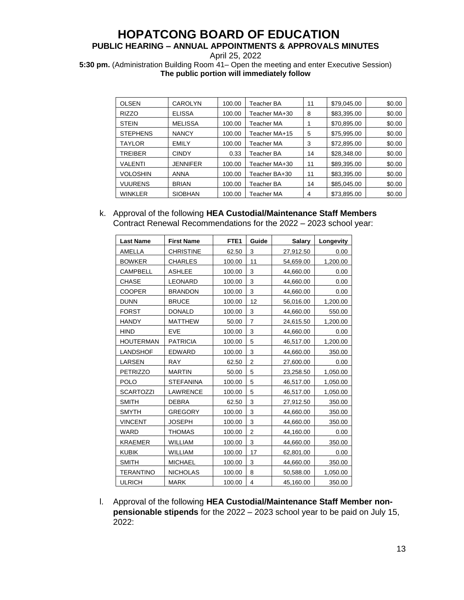## **PUBLIC HEARING – ANNUAL APPOINTMENTS & APPROVALS MINUTES**

April 25, 2022

**5:30 pm.** (Administration Building Room 41– Open the meeting and enter Executive Session) **The public portion will immediately follow**

| <b>OLSEN</b>    | CAROLYN         | 100.00 | Teacher BA    | 11 | \$79,045.00 | \$0.00 |
|-----------------|-----------------|--------|---------------|----|-------------|--------|
| <b>RIZZO</b>    | <b>ELISSA</b>   | 100.00 | Teacher MA+30 | 8  | \$83,395.00 | \$0.00 |
| <b>STEIN</b>    | <b>MELISSA</b>  | 100.00 | Teacher MA    |    | \$70,895.00 | \$0.00 |
| <b>STEPHENS</b> | <b>NANCY</b>    | 100.00 | Teacher MA+15 | 5  | \$75,995.00 | \$0.00 |
| <b>TAYLOR</b>   | <b>EMILY</b>    | 100.00 | Teacher MA    | 3  | \$72,895.00 | \$0.00 |
| TREIBER         | <b>CINDY</b>    | 0.33   | Teacher BA    | 14 | \$28,348,00 | \$0.00 |
| VALENTI         | <b>JENNIFER</b> | 100.00 | Teacher MA+30 | 11 | \$89,395.00 | \$0.00 |
| VOLOSHIN        | <b>ANNA</b>     | 100.00 | Teacher BA+30 | 11 | \$83,395.00 | \$0.00 |
| <b>VUURENS</b>  | <b>BRIAN</b>    | 100.00 | Teacher BA    | 14 | \$85,045.00 | \$0.00 |
| <b>WINKLER</b>  | <b>SIOBHAN</b>  | 100.00 | Teacher MA    | 4  | \$73,895.00 | \$0.00 |

## k. Approval of the following **HEA Custodial/Maintenance Staff Members**  Contract Renewal Recommendations for the 2022 – 2023 school year:

| <b>Last Name</b> | <b>First Name</b> | FTE <sub>1</sub> | Guide          | <b>Salary</b> | Longevity |
|------------------|-------------------|------------------|----------------|---------------|-----------|
| AMELLA           | <b>CHRISTINE</b>  | 62.50            | 3              | 27,912.50     | 0.00      |
| <b>BOWKER</b>    | <b>CHARLES</b>    | 100.00           | 11             | 54,659.00     | 1,200.00  |
| <b>CAMPBELL</b>  | <b>ASHLEE</b>     | 100.00           | 3              | 44,660.00     | 0.00      |
| <b>CHASE</b>     | <b>LEONARD</b>    | 100.00           | 3              | 44,660.00     | 0.00      |
| <b>COOPER</b>    | <b>BRANDON</b>    | 100.00           | 3              | 44,660.00     | 0.00      |
| <b>DUNN</b>      | <b>BRUCE</b>      | 100.00           | 12             | 56,016.00     | 1,200.00  |
| <b>FORST</b>     | <b>DONALD</b>     | 100.00           | 3              | 44,660.00     | 550.00    |
| <b>HANDY</b>     | <b>MATTHEW</b>    | 50.00            | $\overline{7}$ | 24,615.50     | 1,200.00  |
| <b>HIND</b>      | <b>EVE</b>        | 100.00           | 3              | 44,660.00     | 0.00      |
| <b>HOUTERMAN</b> | <b>PATRICIA</b>   | 100.00           | 5              | 46,517.00     | 1,200.00  |
| LANDSHOF         | <b>EDWARD</b>     | 100.00           | 3              | 44,660.00     | 350.00    |
| LARSEN           | <b>RAY</b>        | 62.50            | $\overline{2}$ | 27,600.00     | 0.00      |
| <b>PETRIZZO</b>  | <b>MARTIN</b>     | 50.00            | 5              | 23,258.50     | 1,050.00  |
| <b>POLO</b>      | <b>STEFANINA</b>  | 100.00           | 5              | 46,517.00     | 1,050.00  |
| <b>SCARTOZZI</b> | <b>LAWRENCE</b>   | 100.00           | 5              | 46,517.00     | 1,050.00  |
| <b>SMITH</b>     | <b>DEBRA</b>      | 62.50            | 3              | 27,912.50     | 350.00    |
| <b>SMYTH</b>     | <b>GREGORY</b>    | 100.00           | 3              | 44,660.00     | 350.00    |
| <b>VINCENT</b>   | <b>JOSEPH</b>     | 100.00           | 3              | 44,660.00     | 350.00    |
| <b>WARD</b>      | <b>THOMAS</b>     | 100.00           | 2              | 44,160.00     | 0.00      |
| <b>KRAEMER</b>   | <b>WILLIAM</b>    | 100.00           | 3              | 44,660.00     | 350.00    |
| <b>KUBIK</b>     | <b>WILLIAM</b>    | 100.00           | 17             | 62,801.00     | 0.00      |
| <b>SMITH</b>     | <b>MICHAEL</b>    | 100.00           | 3              | 44,660.00     | 350.00    |
| TERANTINO        | <b>NICHOLAS</b>   | 100.00           | 8              | 50,588.00     | 1,050.00  |
| ULRICH           | <b>MARK</b>       | 100.00           | 4              | 45,160.00     | 350.00    |

l. Approval of the following **HEA Custodial/Maintenance Staff Member nonpensionable stipends** for the 2022 – 2023 school year to be paid on July 15, 2022: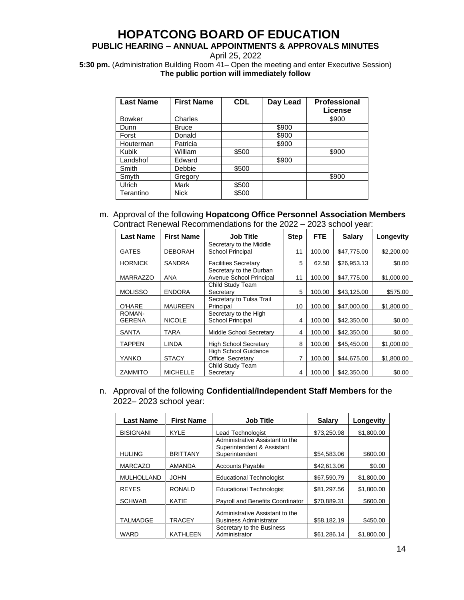## **PUBLIC HEARING – ANNUAL APPOINTMENTS & APPROVALS MINUTES**

April 25, 2022

**5:30 pm.** (Administration Building Room 41– Open the meeting and enter Executive Session) **The public portion will immediately follow**

| <b>Last Name</b> | <b>First Name</b> | <b>CDL</b> | Day Lead | <b>Professional</b><br>License |
|------------------|-------------------|------------|----------|--------------------------------|
| <b>Bowker</b>    | Charles           |            |          | \$900                          |
| Dunn             | <b>Bruce</b>      |            | \$900    |                                |
| Forst            | Donald            |            | \$900    |                                |
| Houterman        | Patricia          |            | \$900    |                                |
| Kubik            | William           | \$500      |          | \$900                          |
| Landshof         | Edward            |            | \$900    |                                |
| Smith            | Debbie            | \$500      |          |                                |
| Smyth            | Gregory           |            |          | \$900                          |
| Ulrich           | Mark              | \$500      |          |                                |
| Terantino        | <b>Nick</b>       | \$500      |          |                                |

m. Approval of the following **Hopatcong Office Personnel Association Members**  Contract Renewal Recommendations for the 2022 – 2023 school year:

| <b>Last Name</b> | <b>First Name</b> | <b>Job Title</b>                                   | <b>Step</b> | <b>FTE</b> | <b>Salarv</b> | Longevity  |
|------------------|-------------------|----------------------------------------------------|-------------|------------|---------------|------------|
|                  |                   | Secretary to the Middle                            |             |            |               |            |
| <b>GATES</b>     | <b>DEBORAH</b>    | <b>School Principal</b>                            | 11          | 100.00     | \$47,775.00   | \$2,200.00 |
| <b>HORNICK</b>   | <b>SANDRA</b>     | <b>Facilities Secretary</b>                        | 5           | 62.50      | \$26.953.13   | \$0.00     |
| <b>MARRAZZO</b>  | ANA               | Secretary to the Durban<br>Avenue School Principal | 11          | 100.00     | \$47.775.00   | \$1,000.00 |
|                  |                   | Child Study Team                                   |             |            |               |            |
| <b>MOLISSO</b>   | <b>ENDORA</b>     | Secretary                                          | 5           | 100.00     | \$43,125.00   | \$575.00   |
|                  |                   | Secretary to Tulsa Trail                           |             |            |               |            |
| O'HARE           | <b>MAUREEN</b>    | Principal                                          | 10          | 100.00     | \$47,000.00   | \$1,800.00 |
| ROMAN-           |                   | Secretary to the High                              |             |            |               |            |
| <b>GERENA</b>    | <b>NICOLE</b>     | School Principal                                   | 4           | 100.00     | \$42,350,00   | \$0.00     |
| <b>SANTA</b>     | TARA              | Middle School Secretary                            | 4           | 100.00     | \$42,350.00   | \$0.00     |
| <b>TAPPEN</b>    | <b>LINDA</b>      | <b>High School Secretary</b>                       | 8           | 100.00     | \$45,450,00   | \$1,000.00 |
|                  |                   | <b>High School Guidance</b>                        |             |            |               |            |
| YANKO            | <b>STACY</b>      | Office Secretary                                   | 7           | 100.00     | \$44,675,00   | \$1,800.00 |
|                  |                   | Child Study Team                                   |             |            |               |            |
| <b>ZAMMITO</b>   | <b>MICHELLE</b>   | Secretary                                          | 4           | 100.00     | \$42,350,00   | \$0.00     |

n. Approval of the following **Confidential/Independent Staff Members** for the 2022– 2023 school year:

| <b>Last Name</b>  | <b>First Name</b> | <b>Job Title</b>                             | Salary      | Longevity  |
|-------------------|-------------------|----------------------------------------------|-------------|------------|
| <b>BISIGNANI</b>  | <b>KYLE</b>       | Lead Technologist                            | \$73,250.98 | \$1,800.00 |
|                   |                   | Administrative Assistant to the              |             |            |
| <b>HULING</b>     | <b>BRITTANY</b>   | Superintendent & Assistant<br>Superintendent | \$54.583.06 | \$600.00   |
| <b>MARCAZO</b>    | <b>AMANDA</b>     | <b>Accounts Payable</b>                      | \$42,613.06 | \$0.00     |
| <b>MULHOLLAND</b> | <b>JOHN</b>       | <b>Educational Technologist</b>              | \$67.590.79 | \$1,800.00 |
| <b>REYES</b>      | <b>RONALD</b>     | <b>Educational Technologist</b>              | \$81.297.56 | \$1,800.00 |
|                   |                   |                                              |             |            |
| <b>SCHWAB</b>     | KATIE             | Payroll and Benefits Coordinator             | \$70.889.31 | \$600.00   |
|                   |                   | Administrative Assistant to the              |             |            |
| <b>TALMADGE</b>   | TRACEY            | <b>Business Administrator</b>                | \$58,182.19 | \$450.00   |
|                   |                   | Secretary to the Business                    |             |            |
| WARD              | <b>KATHLEEN</b>   | Administrator                                | \$61,286.14 | \$1,800.00 |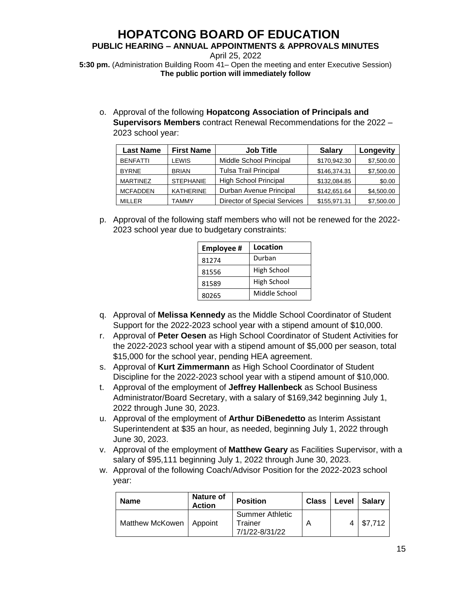**PUBLIC HEARING – ANNUAL APPOINTMENTS & APPROVALS MINUTES**

April 25, 2022 **5:30 pm.** (Administration Building Room 41– Open the meeting and enter Executive Session) **The public portion will immediately follow**

o. Approval of the following **Hopatcong Association of Principals and Supervisors Members** contract Renewal Recommendations for the 2022 – 2023 school year:

| <b>Last Name</b> | <b>First Name</b> | <b>Job Title</b>             | <b>Salary</b> | Longevity  |
|------------------|-------------------|------------------------------|---------------|------------|
| <b>BENFATTI</b>  | LEWIS             | Middle School Principal      | \$170,942.30  | \$7,500.00 |
| <b>BYRNE</b>     | <b>BRIAN</b>      | <b>Tulsa Trail Principal</b> | \$146,374.31  | \$7,500.00 |
| <b>MARTINEZ</b>  | <b>STEPHANIE</b>  | <b>High School Principal</b> | \$132,084.85  | \$0.00     |
| <b>MCFADDEN</b>  | <b>KATHERINE</b>  | Durban Avenue Principal      | \$142,651.64  | \$4,500.00 |
| <b>MILLER</b>    | TAMMY             | Director of Special Services | \$155,971.31  | \$7,500.00 |

p. Approval of the following staff members who will not be renewed for the 2022- 2023 school year due to budgetary constraints:

| <b>Employee#</b> | Location      |
|------------------|---------------|
| 81274            | Durban        |
| 81556            | High School   |
| 81589            | High School   |
| 80265            | Middle School |

- q. Approval of **Melissa Kennedy** as the Middle School Coordinator of Student Support for the 2022-2023 school year with a stipend amount of \$10,000.
- r. Approval of **Peter Oesen** as High School Coordinator of Student Activities for the 2022-2023 school year with a stipend amount of \$5,000 per season, total \$15,000 for the school year, pending HEA agreement.
- s. Approval of **Kurt Zimmermann** as High School Coordinator of Student Discipline for the 2022-2023 school year with a stipend amount of \$10,000.
- t. Approval of the employment of **Jeffrey Hallenbeck** as School Business Administrator/Board Secretary, with a salary of \$169,342 beginning July 1, 2022 through June 30, 2023.
- u. Approval of the employment of **Arthur DiBenedetto** as Interim Assistant Superintendent at \$35 an hour, as needed, beginning July 1, 2022 through June 30, 2023.
- v. Approval of the employment of **Matthew Geary** as Facilities Supervisor, with a salary of \$95,111 beginning July 1, 2022 through June 30, 2023.
- w. Approval of the following Coach/Advisor Position for the 2022-2023 school year:

| <b>Name</b>               | Nature of<br><b>Action</b> | <b>Position</b>                                     | Class | Level | ∣ Salarv |
|---------------------------|----------------------------|-----------------------------------------------------|-------|-------|----------|
| Matthew McKowen   Appoint |                            | <b>Summer Athletic</b><br>Trainer<br>7/1/22-8/31/22 |       |       | \$7,712  |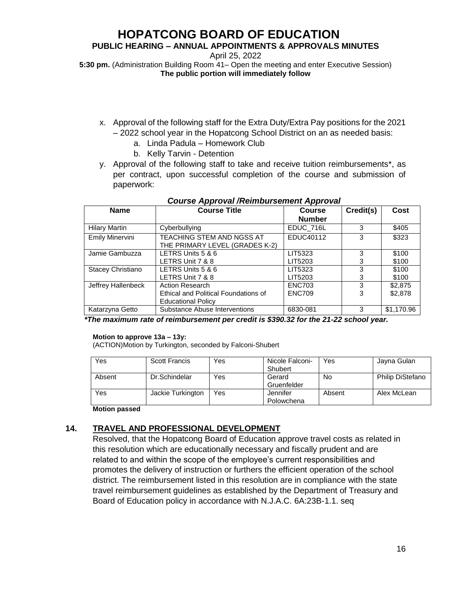## **PUBLIC HEARING – ANNUAL APPOINTMENTS & APPROVALS MINUTES**

April 25, 2022

**5:30 pm.** (Administration Building Room 41– Open the meeting and enter Executive Session) **The public portion will immediately follow**

- x. Approval of the following staff for the Extra Duty/Extra Pay positions for the 2021 – 2022 school year in the Hopatcong School District on an as needed basis:
	- a. Linda Padula Homework Club
	- b. Kelly Tarvin Detention
- y. Approval of the following staff to take and receive tuition reimbursements\*, as per contract, upon successful completion of the course and submission of paperwork:

| <b>Name</b>            | <b>Course Title</b>                                                                                     | <b>Course</b> | Credit(s) | Cost       |
|------------------------|---------------------------------------------------------------------------------------------------------|---------------|-----------|------------|
|                        |                                                                                                         | <b>Number</b> |           |            |
| <b>Hilary Martin</b>   | Cyberbullying                                                                                           | EDUC 716L     | 3         | \$405      |
| <b>Emily Minervini</b> | TEACHING STEM AND NGSS AT                                                                               | EDUC40112     | 3         | \$323      |
|                        | THE PRIMARY LEVEL (GRADES K-2)                                                                          |               |           |            |
| Jamie Gambuzza         | LETRS Units 5 & 6                                                                                       | LIT5323       | 3         | \$100      |
|                        | LETRS Unit 7 & 8                                                                                        | LIT5203       | 3         | \$100      |
| Stacey Christiano      | LETRS Units 5 & 6                                                                                       | LIT5323       | 3         | \$100      |
|                        | LETRS Unit 7 & 8                                                                                        | LIT5203       | 3         | \$100      |
| Jeffrey Hallenbeck     | <b>Action Research</b>                                                                                  | <b>ENC703</b> | 3         | \$2,875    |
|                        | <b>Ethical and Political Foundations of</b>                                                             | <b>ENC709</b> | 3         | \$2,878    |
|                        | <b>Educational Policy</b>                                                                               |               |           |            |
| Katarzyna Getto        | Substance Abuse Interventions                                                                           | 6830-081      | 3         | \$1,170.96 |
|                        | *The second contract of students are contracted that <b>AAAA AA f</b> ood a <b>A4 AA</b> and a football |               |           |            |

 *Course Approval /Reimbursement Approval*

 *\*The maximum rate of reimbursement per credit is \$390.32 for the 21-22 school year.*

#### **Motion to approve 13a – 13y:**

(ACTION)Motion by Turkington, seconded by Falconi-Shubert

| Yes    | Scott Francis     | Yes | Nicole Falconi- | Yes    | Jayna Gulan             |
|--------|-------------------|-----|-----------------|--------|-------------------------|
|        |                   |     | Shubert         |        |                         |
| Absent | Dr.Schindelar     | Yes | Gerard          | No     | <b>Philip DiStefano</b> |
|        |                   |     | Gruenfelder     |        |                         |
| Yes    | Jackie Turkington | Yes | Jennifer        | Absent | Alex McLean             |
|        |                   |     | Polowchena      |        |                         |

**Motion passed**

## **14. TRAVEL AND PROFESSIONAL DEVELOPMENT**

Resolved, that the Hopatcong Board of Education approve travel costs as related in this resolution which are educationally necessary and fiscally prudent and are related to and within the scope of the employee's current responsibilities and promotes the delivery of instruction or furthers the efficient operation of the school district. The reimbursement listed in this resolution are in compliance with the state travel reimbursement guidelines as established by the Department of Treasury and Board of Education policy in accordance with N.J.A.C. 6A:23B-1.1. seq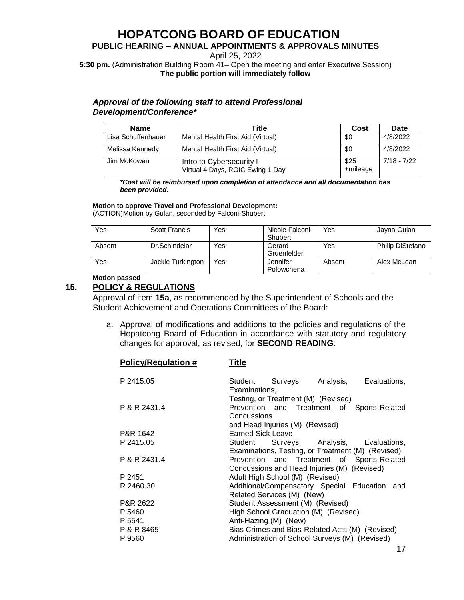## **PUBLIC HEARING – ANNUAL APPOINTMENTS & APPROVALS MINUTES**

April 25, 2022

**5:30 pm.** (Administration Building Room 41– Open the meeting and enter Executive Session) **The public portion will immediately follow**

## *Approval of the following staff to attend Professional Development/Conference\**

| <b>Name</b>        | Title                                                        | Cost             | Date          |
|--------------------|--------------------------------------------------------------|------------------|---------------|
| Lisa Schuffenhauer | Mental Health First Aid (Virtual)                            | \$0              | 4/8/2022      |
| Melissa Kennedy    | Mental Health First Aid (Virtual)                            | \$0              | 4/8/2022      |
| Jim McKowen        | Intro to Cybersecurity I<br>Virtual 4 Days, ROIC Ewing 1 Day | \$25<br>+mileage | $7/18 - 7/22$ |

*\*Cost will be reimbursed upon completion of attendance and all documentation has been provided.* 

#### **Motion to approve Travel and Professional Development:**

**Policy/Regulation # Title**

(ACTION)Motion by Gulan, seconded by Falconi-Shubert

| Yes    | Scott Francis     | Yes | Nicole Falconi-<br>Shubert | Yes    | Jayna Gulan      |
|--------|-------------------|-----|----------------------------|--------|------------------|
| Absent | Dr.Schindelar     | Yes | Gerard<br>Gruenfelder      | Yes    | Philip DiStefano |
| Yes    | Jackie Turkington | Yes | Jennifer<br>Polowchena     | Absent | Alex McLean      |

**Motion passed**

## **15. POLICY & REGULATIONS**

Approval of item **15a**, as recommended by the Superintendent of Schools and the Student Achievement and Operations Committees of the Board:

a. Approval of modifications and additions to the policies and regulations of the Hopatcong Board of Education in accordance with statutory and regulatory changes for approval, as revised, for **SECOND READING**:

| P 2415.05            | Student<br>Examinations,                                                                         | Surveys, Analysis, Evaluations, |
|----------------------|--------------------------------------------------------------------------------------------------|---------------------------------|
| P & R 2431.4         | Testing, or Treatment (M) (Revised)<br>Prevention and Treatment of Sports-Related<br>Concussions |                                 |
| P&R 1642             | and Head Injuries (M) (Revised)<br><b>Earned Sick Leave</b>                                      |                                 |
| P 2415.05            | Student Surveys, Analysis, Evaluations,                                                          |                                 |
| P & R 2431.4         | Examinations, Testing, or Treatment (M) (Revised)<br>Prevention and Treatment of Sports-Related  |                                 |
| P 2451               | Concussions and Head Injuries (M) (Revised)<br>Adult High School (M) (Revised)                   |                                 |
| R 2460.30            | Additional/Compensatory Special Education<br>Related Services (M) (New)                          | and                             |
| P&R 2622             | Student Assessment (M) (Revised)                                                                 |                                 |
| P 5460               | High School Graduation (M) (Revised)                                                             |                                 |
| P 5541<br>P & R 8465 | Anti-Hazing (M) (New)<br>Bias Crimes and Bias-Related Acts (M) (Revised)                         |                                 |
| P 9560               | Administration of School Surveys (M) (Revised)                                                   |                                 |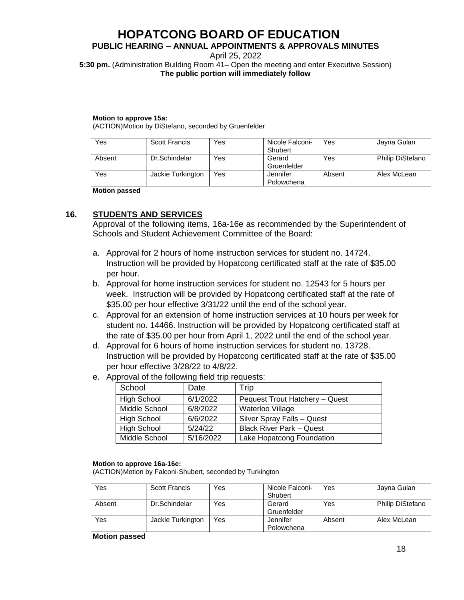## **PUBLIC HEARING – ANNUAL APPOINTMENTS & APPROVALS MINUTES**

April 25, 2022

**5:30 pm.** (Administration Building Room 41– Open the meeting and enter Executive Session) **The public portion will immediately follow**

#### **Motion to approve 15a:**

(ACTION)Motion by DiStefano, seconded by Gruenfelder

| Yes    | <b>Scott Francis</b> | Yes | Nicole Falconi- | Yes    | Jayna Gulan      |
|--------|----------------------|-----|-----------------|--------|------------------|
|        |                      |     | Shubert         |        |                  |
| Absent | Dr.Schindelar        | Yes | Gerard          | Yes    | Philip DiStefano |
|        |                      |     | Gruenfelder     |        |                  |
| Yes    | Jackie Turkington    | Yes | Jennifer        | Absent | Alex McLean      |
|        |                      |     | Polowchena      |        |                  |

**Motion passed**

## **16. STUDENTS AND SERVICES**

Approval of the following items, 16a-16e as recommended by the Superintendent of Schools and Student Achievement Committee of the Board:

- a. Approval for 2 hours of home instruction services for student no. 14724. Instruction will be provided by Hopatcong certificated staff at the rate of \$35.00 per hour.
- b. Approval for home instruction services for student no. 12543 for 5 hours per week. Instruction will be provided by Hopatcong certificated staff at the rate of \$35.00 per hour effective 3/31/22 until the end of the school year.
- c. Approval for an extension of home instruction services at 10 hours per week for student no. 14466. Instruction will be provided by Hopatcong certificated staff at the rate of \$35.00 per hour from April 1, 2022 until the end of the school year.
- d. Approval for 6 hours of home instruction services for student no. 13728. Instruction will be provided by Hopatcong certificated staff at the rate of \$35.00 per hour effective 3/28/22 to 4/8/22.
- e. Approval of the following field trip requests:

| School             | Date      | Trip                            |
|--------------------|-----------|---------------------------------|
| <b>High School</b> | 6/1/2022  | Pequest Trout Hatchery - Quest  |
| Middle School      | 6/8/2022  | Waterloo Village                |
| <b>High School</b> | 6/6/2022  | Silver Spray Falls - Quest      |
| <b>High School</b> | 5/24/22   | <b>Black River Park – Quest</b> |
| Middle School      | 5/16/2022 | Lake Hopatcong Foundation       |

#### **Motion to approve 16a-16e:**

(ACTION)Motion by Falconi-Shubert, seconded by Turkington

| Yes    | Scott Francis     | Yes | Nicole Falconi-<br>Shubert | Yes    | Jayna Gulan      |
|--------|-------------------|-----|----------------------------|--------|------------------|
| Absent | Dr.Schindelar     | Yes | Gerard<br>Gruenfelder      | Yes    | Philip DiStefano |
| Yes    | Jackie Turkington | Yes | Jennifer<br>Polowchena     | Absent | Alex McLean      |

#### **Motion passed**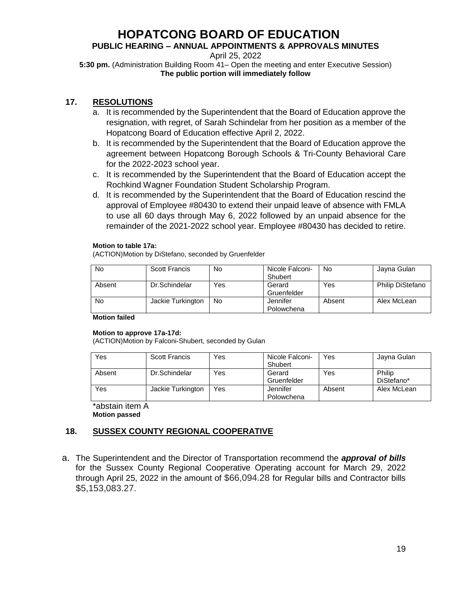## **PUBLIC HEARING – ANNUAL APPOINTMENTS & APPROVALS MINUTES**

April 25, 2022

**5:30 pm.** (Administration Building Room 41– Open the meeting and enter Executive Session) **The public portion will immediately follow**

## **17. RESOLUTIONS**

- a. It is recommended by the Superintendent that the Board of Education approve the resignation, with regret, of Sarah Schindelar from her position as a member of the Hopatcong Board of Education effective April 2, 2022.
- b. It is recommended by the Superintendent that the Board of Education approve the agreement between Hopatcong Borough Schools & Tri-County Behavioral Care for the 2022-2023 school year.
- c. It is recommended by the Superintendent that the Board of Education accept the Rochkind Wagner Foundation Student Scholarship Program.
- d. It is recommended by the Superintendent that the Board of Education rescind the approval of Employee #80430 to extend their unpaid leave of absence with FMLA to use all 60 days through May 6, 2022 followed by an unpaid absence for the remainder of the 2021-2022 school year. Employee #80430 has decided to retire.

#### **Motion to table 17a:**

(ACTION)Motion by DiStefano, seconded by Gruenfelder

| No     | <b>Scott Francis</b> | No  | Nicole Falconi-<br>Shubert | No     | Jayna Gulan      |
|--------|----------------------|-----|----------------------------|--------|------------------|
| Absent | Dr.Schindelar        | Yes | Gerard<br>Gruenfelder      | Yes    | Philip DiStefano |
| No     | Jackie Turkington    | No  | Jennifer<br>Polowchena     | Absent | Alex McLean      |

#### **Motion failed**

#### **Motion to approve 17a-17d:**

(ACTION)Motion by Falconi-Shubert, seconded by Gulan

| Yes    | <b>Scott Francis</b> | Yes | Nicole Falconi-<br>Shubert | Yes    | Jayna Gulan          |
|--------|----------------------|-----|----------------------------|--------|----------------------|
| Absent | Dr.Schindelar        | Yes | Gerard<br>Gruenfelder      | Yes    | Philip<br>DiStefano* |
| Yes    | Jackie Turkington    | Yes | Jennifer<br>Polowchena     | Absent | Alex McLean          |

\*abstain item A **Motion passed**

## **18. SUSSEX COUNTY REGIONAL COOPERATIVE**

a. The Superintendent and the Director of Transportation recommend the *approval of bills* for the Sussex County Regional Cooperative Operating account for March 29, 2022 through April 25, 2022 in the amount of \$66,094.28 for Regular bills and Contractor bills \$5,153,083.27.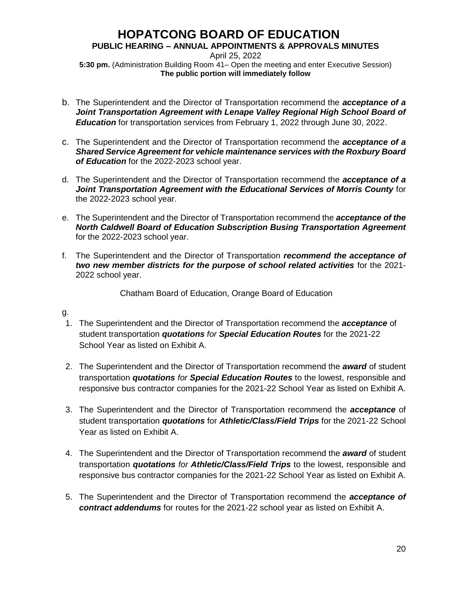## **PUBLIC HEARING – ANNUAL APPOINTMENTS & APPROVALS MINUTES**

April 25, 2022 **5:30 pm.** (Administration Building Room 41– Open the meeting and enter Executive Session) **The public portion will immediately follow**

- b. The Superintendent and the Director of Transportation recommend the *acceptance of a Joint Transportation Agreement with Lenape Valley Regional High School Board of Education* for transportation services from February 1, 2022 through June 30, 2022.
- c. The Superintendent and the Director of Transportation recommend the *acceptance of a Shared Service Agreement for vehicle maintenance services with the Roxbury Board of Education* for the 2022-2023 school year.
- d. The Superintendent and the Director of Transportation recommend the *acceptance of a Joint Transportation Agreement with the Educational Services of Morris County* for the 2022-2023 school year.
- e. The Superintendent and the Director of Transportation recommend the *acceptance of the North Caldwell Board of Education Subscription Busing Transportation Agreement* for the 2022-2023 school year.
- f. The Superintendent and the Director of Transportation *recommend the acceptance of two new member districts for the purpose of school related activities* for the 2021- 2022 school year.

Chatham Board of Education, Orange Board of Education

## g.

- 1. The Superintendent and the Director of Transportation recommend the *acceptance* of student transportation *quotations for Special Education Routes* for the 2021-22 School Year as listed on Exhibit A.
- 2. The Superintendent and the Director of Transportation recommend the *award* of student transportation *quotations for Special Education Routes* to the lowest, responsible and responsive bus contractor companies for the 2021-22 School Year as listed on Exhibit A.
- 3. The Superintendent and the Director of Transportation recommend the *acceptance* of student transportation *quotations* for *Athletic/Class/Field Trips* for the 2021-22 School Year as listed on Exhibit A.
- 4. The Superintendent and the Director of Transportation recommend the *award* of student transportation *quotations for Athletic/Class/Field Trips* to the lowest, responsible and responsive bus contractor companies for the 2021-22 School Year as listed on Exhibit A.
- 5. The Superintendent and the Director of Transportation recommend the *acceptance of contract addendums* for routes for the 2021-22 school year as listed on Exhibit A.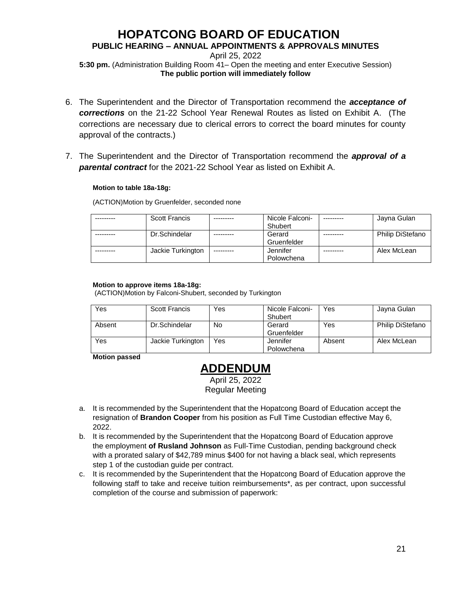## **PUBLIC HEARING – ANNUAL APPOINTMENTS & APPROVALS MINUTES**

April 25, 2022 **5:30 pm.** (Administration Building Room 41– Open the meeting and enter Executive Session) **The public portion will immediately follow**

- 6. The Superintendent and the Director of Transportation recommend the *acceptance of corrections* on the 21-22 School Year Renewal Routes as listed on Exhibit A. (The corrections are necessary due to clerical errors to correct the board minutes for county approval of the contracts.)
- 7. The Superintendent and the Director of Transportation recommend the *approval of a parental contract* for the 2021-22 School Year as listed on Exhibit A.

#### **Motion to table 18a-18g:**

(ACTION)Motion by Gruenfelder, seconded none

| <b>Scott Francis</b> |           | Nicole Falconi- | Jayna Gulan             |
|----------------------|-----------|-----------------|-------------------------|
|                      |           | Shubert         |                         |
| Dr.Schindelar        |           | Gerard          | <b>Philip DiStefano</b> |
|                      |           | Gruenfelder     |                         |
| Jackie Turkington    | --------- | Jennifer        | Alex McLean             |
|                      |           | Polowchena      |                         |

#### **Motion to approve items 18a-18g:**

(ACTION)Motion by Falconi-Shubert, seconded by Turkington

| Yes    | <b>Scott Francis</b> | Yes | Nicole Falconi- | Yes    | Jayna Gulan             |
|--------|----------------------|-----|-----------------|--------|-------------------------|
|        |                      |     | Shubert         |        |                         |
| Absent | Dr.Schindelar        | No  | Gerard          | Yes    | <b>Philip DiStefano</b> |
|        |                      |     | Gruenfelder     |        |                         |
| Yes    | Jackie Turkington    | Yes | Jennifer        | Absent | Alex McLean             |
|        |                      |     | Polowchena      |        |                         |

**Motion passed**

## **ADDENDUM**

April 25, 2022 Regular Meeting

- a. It is recommended by the Superintendent that the Hopatcong Board of Education accept the resignation of **Brandon Cooper** from his position as Full Time Custodian effective May 6, 2022.
- b. It is recommended by the Superintendent that the Hopatcong Board of Education approve the employment **of Rusland Johnson** as Full-Time Custodian, pending background check with a prorated salary of \$42,789 minus \$400 for not having a black seal, which represents step 1 of the custodian guide per contract.
- c. It is recommended by the Superintendent that the Hopatcong Board of Education approve the following staff to take and receive tuition reimbursements\*, as per contract, upon successful completion of the course and submission of paperwork: